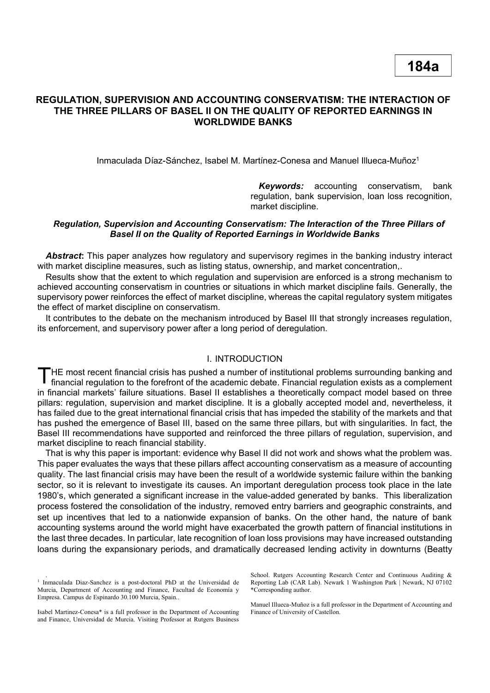# **REGULATION, SUPERVISION AND ACCOUNTING CONSERVATISM: THE INTERACTION OF THE THREE PILLARS OF BASEL II ON THE QUALITY OF REPORTED EARNINGS IN WORLDWIDE BANKS**

Inmaculada Díaz-Sánchez, Isabel M. Martínez-Conesa and Manuel Illueca-Muñoz<sup>1</sup>

*Keywords:* accounting conservatism, bank regulation, bank supervision, loan loss recognition, market discipline.

### *Regulation, Supervision and Accounting Conservatism: The Interaction of the Three Pillars of Basel II on the Quality of Reported Earnings in Worldwide Banks*

*Abstract***:** This paper analyzes how regulatory and supervisory regimes in the banking industry interact with market discipline measures, such as listing status, ownership, and market concentration,.

Results show that the extent to which regulation and supervision are enforced is a strong mechanism to achieved accounting conservatism in countries or situations in which market discipline fails. Generally, the supervisory power reinforces the effect of market discipline, whereas the capital regulatory system mitigates the effect of market discipline on conservatism.

It contributes to the debate on the mechanism introduced by Basel III that strongly increases regulation, its enforcement, and supervisory power after a long period of deregulation.

### I. INTRODUCTION

HE most recent financial crisis has pushed a number of institutional problems surrounding banking and THE most recent financial crisis has pushed a number of institutional problems surrounding banking and financial regulation to the forefront of the academic debate. Financial regulation exists as a complement in financial markets' failure situations. Basel II establishes a theoretically compact model based on three pillars: regulation, supervision and market discipline. It is a globally accepted model and, nevertheless, it has failed due to the great international financial crisis that has impeded the stability of the markets and that has pushed the emergence of Basel III, based on the same three pillars, but with singularities. In fact, the Basel III recommendations have supported and reinforced the three pillars of regulation, supervision, and market discipline to reach financial stability.

That is why this paper is important: evidence why Basel II did not work and shows what the problem was. This paper evaluates the ways that these pillars affect accounting conservatism as a measure of accounting quality. The last financial crisis may have been the result of a worldwide systemic failure within the banking sector, so it is relevant to investigate its causes. An important deregulation process took place in the late 1980's, which generated a significant increase in the value-added generated by banks. This liberalization process fostered the consolidation of the industry, removed entry barriers and geographic constraints, and set up incentives that led to a nationwide expansion of banks. On the other hand, the nature of bank accounting systems around the world might have exacerbated the growth pattern of financial institutions in the last three decades. In particular, late recognition of loan loss provisions may have increased outstanding loans during the expansionary periods, and dramatically decreased lending activity in downturns (Beatty

.

School. Rutgers Accounting Research Center and Continuous Auditing & Reporting Lab (CAR Lab). Newark 1 Washington Park | Newark, NJ 07102 \*Corresponding author.

Manuel Illueca-Muñoz is a full professor in the Department of Accounting and Finance of University of Castellon.

<sup>&</sup>lt;sup>1</sup> Inmaculada Diaz-Sanchez is a post-doctoral PhD at the Universidad de Murcia, Department of Accounting and Finance, Facultad de Economía y Empresa. Campus de Espinardo 30.100 Murcia, Spain..

Isabel Martinez-Conesa\* is a full professor in the Department of Accounting and Finance, Universidad de Murcia. Visiting Professor at Rutgers Business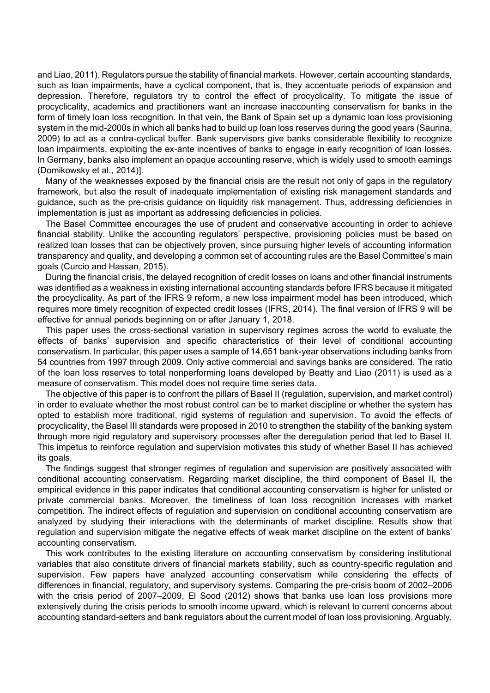and Liao, 2011). Regulators pursue the stability of financial markets. However, certain accounting standards, such as loan impairments, have a cyclical component, that is, they accentuate periods of expansion and depression. Therefore, regulators try to control the effect of procyclicality. To mitigate the issue of procyclicality, academics and practitioners want an increase inaccounting conservatism for banks in the form of timely loan loss recognition. In that vein, the Bank of Spain set up a dynamic loan loss provisioning system in the mid-2000s in which all banks had to build up loan loss reserves during the good years (Saurina, 2009) to act as a contra-cyclical buffer. Bank supervisors give banks considerable flexibility to recognize loan impairments, exploiting the ex-ante incentives of banks to engage in early recognition of loan losses. In Germany, banks also implement an opaque accounting reserve, which is widely used to smooth earnings (Domikowsky et al., 2014)].

Many of the weaknesses exposed by the financial crisis are the result not only of gaps in the regulatory framework, but also the result of inadequate implementation of existing risk management standards and guidance, such as the pre-crisis guidance on liquidity risk management. Thus, addressing deficiencies in implementation is just as important as addressing deficiencies in policies.

The Basel Committee encourages the use of prudent and conservative accounting in order to achieve financial stability. Unlike the accounting regulators' perspective, provisioning policies must be based on realized loan losses that can be objectively proven, since pursuing higher levels of accounting information transparency and quality, and developing a common set of accounting rules are the Basel Committee's main goals (Curcio and Hassan, 2015).

During the financial crisis, the delayed recognition of credit losses on loans and other financial instruments was identified as a weakness in existing international accounting standards before IFRS because it mitigated the procyclicality. As part of the IFRS 9 reform, a new loss impairment model has been introduced, which requires more timely recognition of expected credit losses (IFRS, 2014). The final version of IFRS 9 will be effective for annual periods beginning on or after January 1, 2018.

This paper uses the cross-sectional variation in supervisory regimes across the world to evaluate the effects of banks' supervision and specific characteristics of their level of conditional accounting conservatism. In particular, this paper uses a sample of 14,651 bank-year observations including banks from 54 countries from 1997 through 2009. Only active commercial and savings banks are considered. The ratio of the loan loss reserves to total nonperforming loans developed by Beatty and Liao (2011) is used as a measure of conservatism. This model does not require time series data.

The objective of this paper is to confront the pillars of Basel II (regulation, supervision, and market control) in order to evaluate whether the most robust control can be to market discipline or whether the system has opted to establish more traditional, rigid systems of regulation and supervision. To avoid the effects of procyclicality, the Basel III standards were proposed in 2010 to strengthen the stability of the banking system through more rigid regulatory and supervisory processes after the deregulation period that led to Basel II. This impetus to reinforce regulation and supervision motivates this study of whether Basel II has achieved its goals.

The findings suggest that stronger regimes of regulation and supervision are positively associated with conditional accounting conservatism. Regarding market discipline, the third component of Basel II, the empirical evidence in this paper indicates that conditional accounting conservatism is higher for unlisted or private commercial banks. Moreover, the timeliness of loan loss recognition increases with market competition. The indirect effects of regulation and supervision on conditional accounting conservatism are analyzed by studying their interactions with the determinants of market discipline. Results show that regulation and supervision mitigate the negative effects of weak market discipline on the extent of banks' accounting conservatism.

This work contributes to the existing literature on accounting conservatism by considering institutional variables that also constitute drivers of financial markets stability, such as country-specific regulation and supervision. Few papers have analyzed accounting conservatism while considering the effects of differences in financial, regulatory, and supervisory systems. Comparing the pre-crisis boom of 2002–2006 with the crisis period of 2007–2009, El Sood (2012) shows that banks use loan loss provisions more extensively during the crisis periods to smooth income upward, which is relevant to current concerns about accounting standard-setters and bank regulators about the current model of loan loss provisioning. Arguably,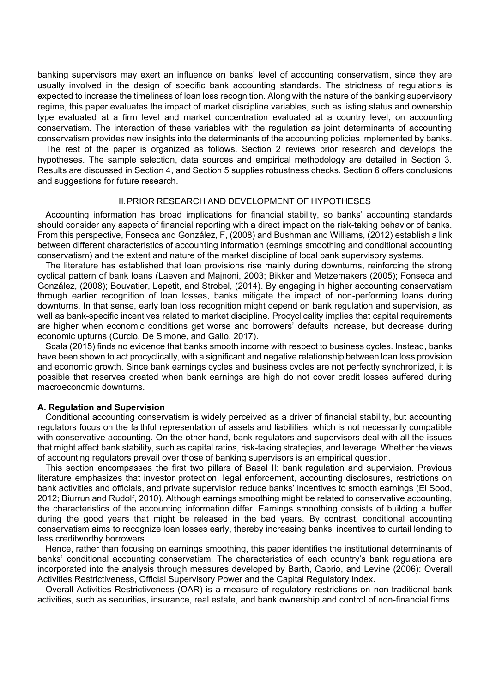banking supervisors may exert an influence on banks' level of accounting conservatism, since they are usually involved in the design of specific bank accounting standards. The strictness of regulations is expected to increase the timeliness of loan loss recognition. Along with the nature of the banking supervisory regime, this paper evaluates the impact of market discipline variables, such as listing status and ownership type evaluated at a firm level and market concentration evaluated at a country level, on accounting conservatism. The interaction of these variables with the regulation as joint determinants of accounting conservatism provides new insights into the determinants of the accounting policies implemented by banks.

The rest of the paper is organized as follows. Section 2 reviews prior research and develops the hypotheses. The sample selection, data sources and empirical methodology are detailed in Section 3. Results are discussed in Section 4, and Section 5 supplies robustness checks. Section 6 offers conclusions and suggestions for future research.

### II.PRIOR RESEARCH AND DEVELOPMENT OF HYPOTHESES

Accounting information has broad implications for financial stability, so banks' accounting standards should consider any aspects of financial reporting with a direct impact on the risk-taking behavior of banks. From this perspective, Fonseca and González, F, (2008) and Bushman and Williams, (2012) establish a link between different characteristics of accounting information (earnings smoothing and conditional accounting conservatism) and the extent and nature of the market discipline of local bank supervisory systems.

The literature has established that loan provisions rise mainly during downturns, reinforcing the strong cyclical pattern of bank loans (Laeven and Majnoni, 2003; Bikker and Metzemakers (2005); Fonseca and González, (2008); Bouvatier, Lepetit, and Strobel, (2014). By engaging in higher accounting conservatism through earlier recognition of loan losses, banks mitigate the impact of non-performing loans during downturns. In that sense, early loan loss recognition might depend on bank regulation and supervision, as well as bank-specific incentives related to market discipline. Procyclicality implies that capital requirements are higher when economic conditions get worse and borrowers' defaults increase, but decrease during economic upturns (Curcio, De Simone, and Gallo, 2017).

Scala (2015) finds no evidence that banks smooth income with respect to business cycles. Instead, banks have been shown to act procyclically, with a significant and negative relationship between loan loss provision and economic growth. Since bank earnings cycles and business cycles are not perfectly synchronized, it is possible that reserves created when bank earnings are high do not cover credit losses suffered during macroeconomic downturns.

#### **A. Regulation and Supervision**

Conditional accounting conservatism is widely perceived as a driver of financial stability, but accounting regulators focus on the faithful representation of assets and liabilities, which is not necessarily compatible with conservative accounting. On the other hand, bank regulators and supervisors deal with all the issues that might affect bank stability, such as capital ratios, risk-taking strategies, and leverage. Whether the views of accounting regulators prevail over those of banking supervisors is an empirical question.

This section encompasses the first two pillars of Basel II: bank regulation and supervision. Previous literature emphasizes that investor protection, legal enforcement, accounting disclosures, restrictions on bank activities and officials, and private supervision reduce banks' incentives to smooth earnings (El Sood, 2012; Biurrun and Rudolf, 2010). Although earnings smoothing might be related to conservative accounting, the characteristics of the accounting information differ. Earnings smoothing consists of building a buffer during the good years that might be released in the bad years. By contrast, conditional accounting conservatism aims to recognize loan losses early, thereby increasing banks' incentives to curtail lending to less creditworthy borrowers.

Hence, rather than focusing on earnings smoothing, this paper identifies the institutional determinants of banks' conditional accounting conservatism. The characteristics of each country's bank regulations are incorporated into the analysis through measures developed by Barth, Caprio, and Levine (2006): Overall Activities Restrictiveness, Official Supervisory Power and the Capital Regulatory Index.

Overall Activities Restrictiveness (OAR) is a measure of regulatory restrictions on non-traditional bank activities, such as securities, insurance, real estate, and bank ownership and control of non-financial firms.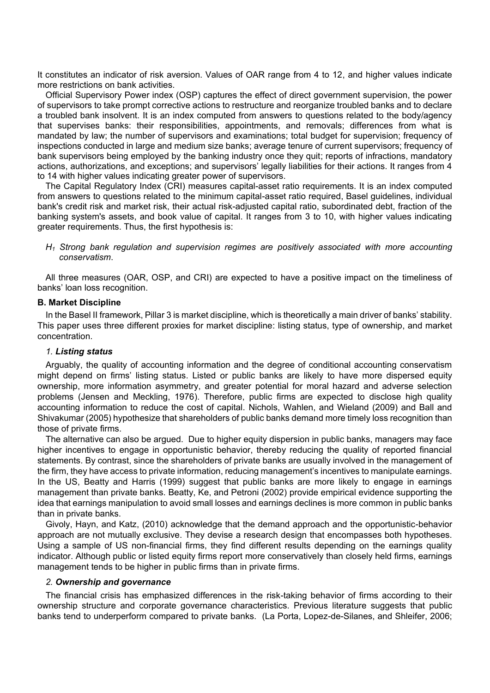It constitutes an indicator of risk aversion. Values of OAR range from 4 to 12, and higher values indicate more restrictions on bank activities.

Official Supervisory Power index (OSP) captures the effect of direct government supervision, the power of supervisors to take prompt corrective actions to restructure and reorganize troubled banks and to declare a troubled bank insolvent. It is an index computed from answers to questions related to the body/agency that supervises banks: their responsibilities, appointments, and removals; differences from what is mandated by law; the number of supervisors and examinations; total budget for supervision; frequency of inspections conducted in large and medium size banks; average tenure of current supervisors; frequency of bank supervisors being employed by the banking industry once they quit; reports of infractions, mandatory actions, authorizations, and exceptions; and supervisors' legally liabilities for their actions. It ranges from 4 to 14 with higher values indicating greater power of supervisors.

The Capital Regulatory Index (CRI) measures capital-asset ratio requirements. It is an index computed from answers to questions related to the minimum capital-asset ratio required, Basel guidelines, individual bank's credit risk and market risk, their actual risk-adjusted capital ratio, subordinated debt, fraction of the banking system's assets, and book value of capital. It ranges from 3 to 10, with higher values indicating greater requirements. Thus, the first hypothesis is:

## *H<sup>1</sup> Strong bank regulation and supervision regimes are positively associated with more accounting conservatism*.

All three measures (OAR, OSP, and CRI) are expected to have a positive impact on the timeliness of banks' loan loss recognition.

### **B. Market Discipline**

In the Basel II framework, Pillar 3 is market discipline, which is theoretically a main driver of banks' stability. This paper uses three different proxies for market discipline: listing status, type of ownership, and market concentration.

### *1. Listing status*

Arguably, the quality of accounting information and the degree of conditional accounting conservatism might depend on firms' listing status. Listed or public banks are likely to have more dispersed equity ownership, more information asymmetry, and greater potential for moral hazard and adverse selection problems (Jensen and Meckling, 1976). Therefore, public firms are expected to disclose high quality accounting information to reduce the cost of capital. Nichols, Wahlen, and Wieland (2009) and Ball and Shivakumar (2005) hypothesize that shareholders of public banks demand more timely loss recognition than those of private firms.

The alternative can also be argued. Due to higher equity dispersion in public banks, managers may face higher incentives to engage in opportunistic behavior, thereby reducing the quality of reported financial statements. By contrast, since the shareholders of private banks are usually involved in the management of the firm, they have access to private information, reducing management's incentives to manipulate earnings. In the US, Beatty and Harris (1999) suggest that public banks are more likely to engage in earnings management than private banks. Beatty, Ke, and Petroni (2002) provide empirical evidence supporting the idea that earnings manipulation to avoid small losses and earnings declines is more common in public banks than in private banks.

Givoly, Hayn, and Katz, (2010) acknowledge that the demand approach and the opportunistic-behavior approach are not mutually exclusive. They devise a research design that encompasses both hypotheses. Using a sample of US non-financial firms, they find different results depending on the earnings quality indicator. Although public or listed equity firms report more conservatively than closely held firms, earnings management tends to be higher in public firms than in private firms.

## *2. Ownership and governance*

The financial crisis has emphasized differences in the risk-taking behavior of firms according to their ownership structure and corporate governance characteristics. Previous literature suggests that public banks tend to underperform compared to private banks. (La Porta, Lopez-de-Silanes, and Shleifer, 2006;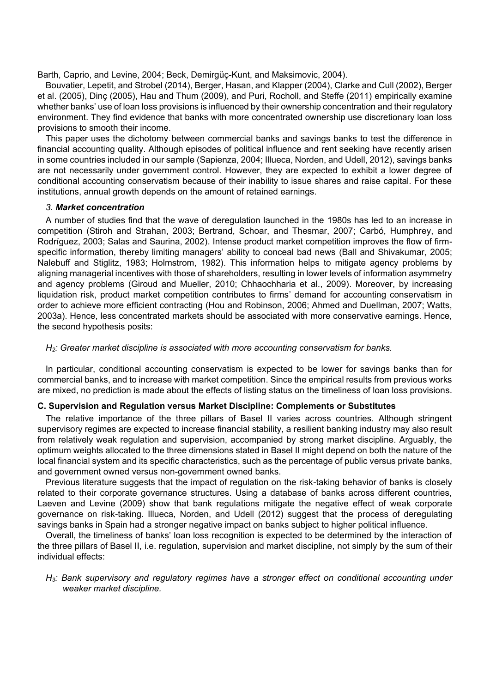Barth, Caprio, and Levine, 2004; Beck, Demirgüç-Kunt, and Maksimovic, 2004).

Bouvatier, Lepetit, and Strobel (2014), Berger, Hasan, and Klapper (2004), Clarke and Cull (2002), Berger et al. (2005), Dinç (2005), Hau and Thum (2009), and Puri, Rocholl, and Steffe (2011) empirically examine whether banks' use of loan loss provisions is influenced by their ownership concentration and their regulatory environment. They find evidence that banks with more concentrated ownership use discretionary loan loss provisions to smooth their income.

This paper uses the dichotomy between commercial banks and savings banks to test the difference in financial accounting quality. Although episodes of political influence and rent seeking have recently arisen in some countries included in our sample (Sapienza, 2004; Illueca, Norden, and Udell, 2012), savings banks are not necessarily under government control. However, they are expected to exhibit a lower degree of conditional accounting conservatism because of their inability to issue shares and raise capital. For these institutions, annual growth depends on the amount of retained earnings.

### *3. Market concentration*

A number of studies find that the wave of deregulation launched in the 1980s has led to an increase in competition (Stiroh and Strahan, 2003; Bertrand, Schoar, and Thesmar, 2007; Carbó, Humphrey, and Rodríguez, 2003; Salas and Saurina, 2002). Intense product market competition improves the flow of firmspecific information, thereby limiting managers' ability to conceal bad news (Ball and Shivakumar, 2005; Nalebuff and Stiglitz, 1983; Holmstrom, 1982). This information helps to mitigate agency problems by aligning managerial incentives with those of shareholders, resulting in lower levels of information asymmetry and agency problems (Giroud and Mueller, 2010; Chhaochharia et al., 2009). Moreover, by increasing liquidation risk, product market competition contributes to firms' demand for accounting conservatism in order to achieve more efficient contracting (Hou and Robinson, 2006; Ahmed and Duellman, 2007; Watts, 2003a). Hence, less concentrated markets should be associated with more conservative earnings. Hence, the second hypothesis posits:

## *H2: Greater market discipline is associated with more accounting conservatism for banks.*

In particular, conditional accounting conservatism is expected to be lower for savings banks than for commercial banks, and to increase with market competition. Since the empirical results from previous works are mixed, no prediction is made about the effects of listing status on the timeliness of loan loss provisions.

## **C. Supervision and Regulation versus Market Discipline: Complements or Substitutes**

The relative importance of the three pillars of Basel II varies across countries. Although stringent supervisory regimes are expected to increase financial stability, a resilient banking industry may also result from relatively weak regulation and supervision, accompanied by strong market discipline. Arguably, the optimum weights allocated to the three dimensions stated in Basel II might depend on both the nature of the local financial system and its specific characteristics, such as the percentage of public versus private banks, and government owned versus non-government owned banks.

Previous literature suggests that the impact of regulation on the risk-taking behavior of banks is closely related to their corporate governance structures. Using a database of banks across different countries, Laeven and Levine (2009) show that bank regulations mitigate the negative effect of weak corporate governance on risk-taking. Illueca, Norden, and Udell (2012) suggest that the process of deregulating savings banks in Spain had a stronger negative impact on banks subject to higher political influence.

Overall, the timeliness of banks' loan loss recognition is expected to be determined by the interaction of the three pillars of Basel II, i.e. regulation, supervision and market discipline, not simply by the sum of their individual effects:

*H3: Bank supervisory and regulatory regimes have a stronger effect on conditional accounting under weaker market discipline.*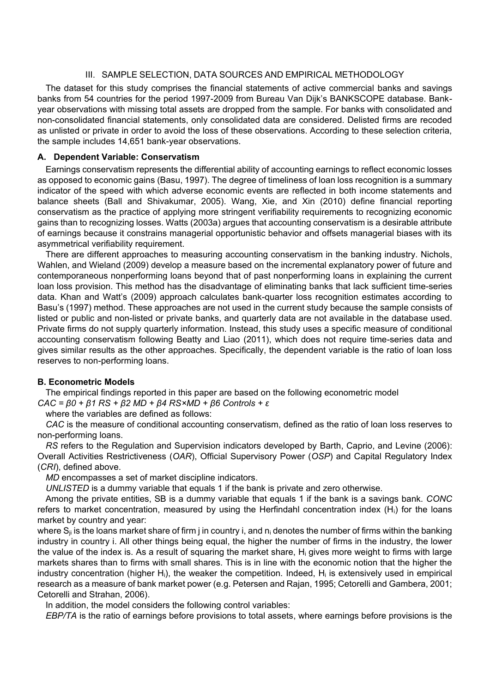## III. SAMPLE SELECTION, DATA SOURCES AND EMPIRICAL METHODOLOGY

The dataset for this study comprises the financial statements of active commercial banks and savings banks from 54 countries for the period 1997-2009 from Bureau Van Dijk's BANKSCOPE database. Bankyear observations with missing total assets are dropped from the sample. For banks with consolidated and non-consolidated financial statements, only consolidated data are considered. Delisted firms are recoded as unlisted or private in order to avoid the loss of these observations. According to these selection criteria, the sample includes 14,651 bank-year observations.

## **A. Dependent Variable: Conservatism**

Earnings conservatism represents the differential ability of accounting earnings to reflect economic losses as opposed to economic gains (Basu, 1997). The degree of timeliness of loan loss recognition is a summary indicator of the speed with which adverse economic events are reflected in both income statements and balance sheets (Ball and Shivakumar, 2005). Wang, Xie, and Xin (2010) define financial reporting conservatism as the practice of applying more stringent verifiability requirements to recognizing economic gains than to recognizing losses. Watts (2003a) argues that accounting conservatism is a desirable attribute of earnings because it constrains managerial opportunistic behavior and offsets managerial biases with its asymmetrical verifiability requirement.

There are different approaches to measuring accounting conservatism in the banking industry. Nichols, Wahlen, and Wieland (2009) develop a measure based on the incremental explanatory power of future and contemporaneous nonperforming loans beyond that of past nonperforming loans in explaining the current loan loss provision. This method has the disadvantage of eliminating banks that lack sufficient time-series data. Khan and Watt's (2009) approach calculates bank-quarter loss recognition estimates according to Basu's (1997) method. These approaches are not used in the current study because the sample consists of listed or public and non-listed or private banks, and quarterly data are not available in the database used. Private firms do not supply quarterly information. Instead, this study uses a specific measure of conditional accounting conservatism following Beatty and Liao (2011), which does not require time-series data and gives similar results as the other approaches. Specifically, the dependent variable is the ratio of loan loss reserves to non-performing loans.

## **B. Econometric Models**

The empirical findings reported in this paper are based on the following econometric model *CAC = β0 + β1 RS + β2 MD + β4 RS×MD + β6 Controls + ε*

where the variables are defined as follows:

*CAC* is the measure of conditional accounting conservatism, defined as the ratio of loan loss reserves to non-performing loans.

*RS* refers to the Regulation and Supervision indicators developed by Barth, Caprio, and Levine (2006): Overall Activities Restrictiveness (*OAR*), Official Supervisory Power (*OSP*) and Capital Regulatory Index (*CRI*), defined above.

*MD* encompasses a set of market discipline indicators.

*UNLISTED* is a dummy variable that equals 1 if the bank is private and zero otherwise.

Among the private entities, SB is a dummy variable that equals 1 if the bank is a savings bank. *CONC* refers to market concentration, measured by using the Herfindahl concentration index (Hi) for the loans market by country and year:

where  $S_{ii}$  is the loans market share of firm j in country i, and n<sub>i</sub> denotes the number of firms within the banking industry in country i. All other things being equal, the higher the number of firms in the industry, the lower the value of the index is. As a result of squaring the market share, H<sub>i</sub> gives more weight to firms with large markets shares than to firms with small shares. This is in line with the economic notion that the higher the industry concentration (higher H<sub>i</sub>), the weaker the competition. Indeed, H<sub>i</sub> is extensively used in empirical research as a measure of bank market power (e.g. Petersen and Rajan, 1995; Cetorelli and Gambera, 2001; Cetorelli and Strahan, 2006).

In addition, the model considers the following control variables:

*EBP/TA* is the ratio of earnings before provisions to total assets, where earnings before provisions is the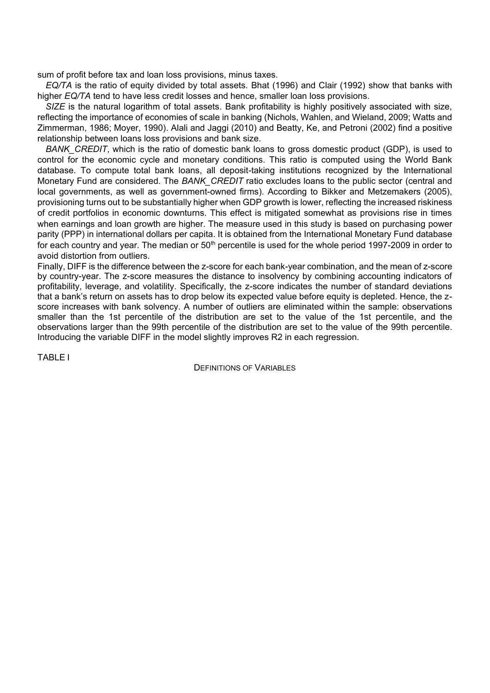sum of profit before tax and loan loss provisions, minus taxes.

*EQ/TA* is the ratio of equity divided by total assets. Bhat (1996) and Clair (1992) show that banks with higher *EQ/TA* tend to have less credit losses and hence, smaller loan loss provisions.

*SIZE* is the natural logarithm of total assets. Bank profitability is highly positively associated with size, reflecting the importance of economies of scale in banking (Nichols, Wahlen, and Wieland, 2009; Watts and Zimmerman, 1986; Moyer, 1990). Alali and Jaggi (2010) and Beatty, Ke, and Petroni (2002) find a positive relationship between loans loss provisions and bank size.

*BANK\_CREDIT*, which is the ratio of domestic bank loans to gross domestic product (GDP), is used to control for the economic cycle and monetary conditions. This ratio is computed using the World Bank database. To compute total bank loans, all deposit-taking institutions recognized by the International Monetary Fund are considered. The *BANK\_CREDIT* ratio excludes loans to the public sector (central and local governments, as well as government-owned firms). According to Bikker and Metzemakers (2005), provisioning turns out to be substantially higher when GDP growth is lower, reflecting the increased riskiness of credit portfolios in economic downturns. This effect is mitigated somewhat as provisions rise in times when earnings and loan growth are higher. The measure used in this study is based on purchasing power parity (PPP) in international dollars per capita. It is obtained from the International Monetary Fund database for each country and year. The median or  $50<sup>th</sup>$  percentile is used for the whole period 1997-2009 in order to avoid distortion from outliers.

Finally, DIFF is the difference between the z-score for each bank-year combination, and the mean of z-score by country-year. The z-score measures the distance to insolvency by combining accounting indicators of profitability, leverage, and volatility. Specifically, the z-score indicates the number of standard deviations that a bank's return on assets has to drop below its expected value before equity is depleted. Hence, the zscore increases with bank solvency. A number of outliers are eliminated within the sample: observations smaller than the 1st percentile of the distribution are set to the value of the 1st percentile, and the observations larger than the 99th percentile of the distribution are set to the value of the 99th percentile. Introducing the variable DIFF in the model slightly improves R2 in each regression.

TABLE I

DEFINITIONS OF VARIABLES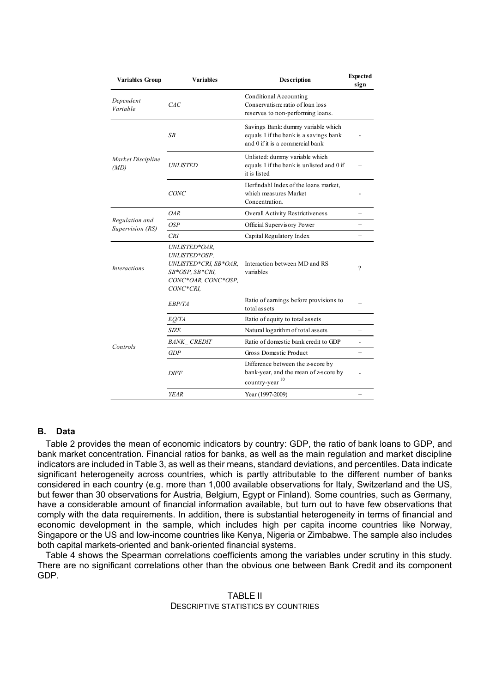| <b>Variables Group</b>             | <b>Variables</b>                                                                                               | Description                                                                                                      | <b>Expected</b><br>sign  |
|------------------------------------|----------------------------------------------------------------------------------------------------------------|------------------------------------------------------------------------------------------------------------------|--------------------------|
| Dependent<br>Variable              | Conditional Accounting<br>Conservatism: ratio of loan loss<br>CAC<br>reserves to non-performing loans.         |                                                                                                                  |                          |
|                                    | SB                                                                                                             | Savings Bank: dummy variable which<br>equals 1 if the bank is a savings bank<br>and 0 if it is a commercial bank |                          |
| Market Discipline<br>(MD)          | <i>UNLISTED</i>                                                                                                | Unlisted: dummy variable which<br>equals 1 if the bank is unlisted and 0 if<br>it is listed                      | $^{+}$                   |
|                                    | CONC                                                                                                           | Herfindahl Index of the loans market,<br>which measures Market<br>Concentration.                                 |                          |
|                                    | OAR                                                                                                            | Overall Activity Restrictiveness                                                                                 | $^{+}$                   |
| Regulation and<br>Supervision (RS) | OSP                                                                                                            | Official Supervisory Power                                                                                       | $^{+}$                   |
|                                    | CRI                                                                                                            | Capital Regulatory Index                                                                                         | $^{+}$                   |
| <b>Interactions</b>                | UNLISTED*OAR,<br>UNLISTED*OSP,<br>UNLISTED*CRI, SB*OAR,<br>SB*OSP, SB*CRI,<br>CONC*OAR, CONC*OSP,<br>CONC*CRI. | Interaction between MD and RS<br>variables                                                                       | ?                        |
|                                    | EBP/TA                                                                                                         | Ratio of earnings before provisions to<br>total assets                                                           | $^{+}$                   |
|                                    | EO/TA                                                                                                          | Ratio of equity to total assets                                                                                  | $^{+}$                   |
|                                    | SIZE                                                                                                           | Natural logarithm of total assets                                                                                | $^{+}$                   |
| Controls                           | <b>BANK CREDIT</b>                                                                                             | Ratio of domestic bank credit to GDP                                                                             | $\overline{\phantom{a}}$ |
|                                    | <b>GDP</b>                                                                                                     | Gross Domestic Product                                                                                           | $^{+}$                   |
|                                    | <i>DIFF</i>                                                                                                    | Difference between the z-score by<br>bank-year, and the mean of z-score by<br>country-year                       |                          |
|                                    | <b>YEAR</b>                                                                                                    | Year (1997-2009)                                                                                                 | $^{+}$                   |

### **B. Data**

Table 2 provides the mean of economic indicators by country: GDP, the ratio of bank loans to GDP, and bank market concentration. Financial ratios for banks, as well as the main regulation and market discipline indicators are included in Table 3, as well as their means, standard deviations, and percentiles. Data indicate significant heterogeneity across countries, which is partly attributable to the different number of banks considered in each country (e.g. more than 1,000 available observations for Italy, Switzerland and the US, but fewer than 30 observations for Austria, Belgium, Egypt or Finland). Some countries, such as Germany, have a considerable amount of financial information available, but turn out to have few observations that comply with the data requirements. In addition, there is substantial heterogeneity in terms of financial and economic development in the sample, which includes high per capita income countries like Norway, Singapore or the US and low-income countries like Kenya, Nigeria or Zimbabwe. The sample also includes both capital markets-oriented and bank-oriented financial systems.

Table 4 shows the Spearman correlations coefficients among the variables under scrutiny in this study. There are no significant correlations other than the obvious one between Bank Credit and its component GDP.

## TABLE II DESCRIPTIVE STATISTICS BY COUNTRIES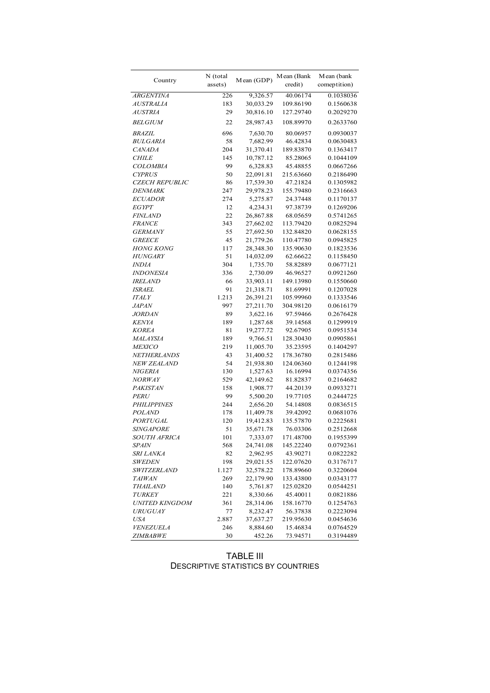| Country               | N (total | Mean (GDP) | Mean (Bank | Mean (bank<br>comeptition) |  |
|-----------------------|----------|------------|------------|----------------------------|--|
|                       | assets)  |            | credit)    |                            |  |
| <b>ARGENTINA</b>      | 226      | 9,326.57   | 40.06174   | 0.1038036                  |  |
| <b>AUSTRALIA</b>      | 183      | 30,033.29  | 109.86190  | 0.1560638                  |  |
| <b>AUSTRIA</b>        | 29       | 30,816.10  | 127.29740  | 0.2029270                  |  |
| <b>BELGIUM</b>        | 22       | 28,987.43  | 108.89970  | 0.2633760                  |  |
| <b>BRAZIL</b>         | 696      | 7,630.70   | 80.06957   | 0.0930037                  |  |
| <b>BULGARIA</b>       | 58       | 7,682.99   | 46.42834   | 0.0630483                  |  |
| <b>CANADA</b>         | 204      | 31,370.41  | 189.83870  | 0.1363417                  |  |
| <b>CHILE</b>          | 145      | 10,787.12  | 85.28065   | 0.1044109                  |  |
| <b>COLOMBIA</b>       | 99       | 6,328.83   | 45.48855   | 0.0667266                  |  |
| <b>CYPRUS</b>         | 50       | 22,091.81  | 215.63660  | 0.2186490                  |  |
| <b>CZECH REPUBLIC</b> | 86       | 17,539.30  | 47.21824   | 0.1305982                  |  |
| DENMARK               | 247      | 29,978.23  | 155.79480  | 0.2316663                  |  |
| <b>ECUADOR</b>        | 274      | 5,275.87   | 24.37448   | 0.1170137                  |  |
| <b>EGYPT</b>          | 12       | 4,234.31   | 97.38739   | 0.1269206                  |  |
| <b>FINLAND</b>        | 22       | 26,867.88  | 68.05659   | 0.5741265                  |  |
| <b>FRANCE</b>         | 343      | 27,662.02  | 113.79420  | 0.0825294                  |  |
| <b>GERMANY</b>        | 55       | 27,692.50  | 132.84820  | 0.0628155                  |  |
| <b>GREECE</b>         | 45       | 21,779.26  | 110.47780  | 0.0945825                  |  |
| <b>HONG KONG</b>      | 117      | 28,348.30  | 135.90630  | 0.1823536                  |  |
| <b>HUNGARY</b>        | 51       | 14,032.09  | 62.66622   | 0.1158450                  |  |
| <b>INDIA</b>          | 304      | 1,735.70   | 58.82889   | 0.0677121                  |  |
| <b>INDONESIA</b>      | 336      | 2,730.09   | 46.96527   | 0.0921260                  |  |
| <b>IRELAND</b>        | 66       | 33,903.11  | 149.13980  | 0.1550660                  |  |
| <b>ISRAEL</b>         | 91       | 21,318.71  | 81.69991   | 0.1207028                  |  |
| <b>ITALY</b>          | 1.213    | 26,391.21  | 105.99960  | 0.1333546                  |  |
| <b>JAPAN</b>          | 997      | 27,211.70  | 304.98120  | 0.0616179                  |  |
| <b>JORDAN</b>         | 89       | 3,622.16   | 97.59466   | 0.2676428                  |  |
| <b>KENYA</b>          | 189      | 1,287.68   | 39.14568   | 0.1299919                  |  |
| <b>KOREA</b>          | 81       | 19,277.72  | 92.67905   | 0.0951534                  |  |
| MALAYSIA              | 189      | 9,766.51   | 128.30430  | 0.0905861                  |  |
| <b>MEXICO</b>         | 219      | 11,005.70  | 35.23595   | 0.1404297                  |  |
| NETHERLANDS           | 43       | 31,400.52  | 178.36780  | 0.2815486                  |  |
| NEW ZEALAND           | 54       | 21,938.80  | 124.06360  | 0.1244198                  |  |
| <b>NIGERIA</b>        | 130      | 1,527.63   | 16.16994   | 0.0374356                  |  |
| <b>NORWAY</b>         | 529      | 42,149.62  | 81.82837   | 0.2164682                  |  |
| <b>PAKISTAN</b>       | 158      | 1,908.77   | 44.20139   | 0.0933271                  |  |
| <b>PERU</b>           | 99       | 5,500.20   | 19.77105   | 0.2444725                  |  |
| PHILIPPINES           | 244      | 2,656.20   | 54.14808   | 0.0836515                  |  |
| <b>POLAND</b>         | 178      | 11,409.78  | 39.42092   | 0.0681076                  |  |
| PORTUGAL              | 120      | 19,412.83  | 135.57870  | 0.2225681                  |  |
| <b>SINGAPORE</b>      | 51       | 35,671.78  | 76.03306   | 0.2512668                  |  |
| <b>SOUTH AFRICA</b>   | 101      | 7,333.07   | 171.48700  | 0.1955399                  |  |
| <i>SPAIN</i>          | 568      | 24,741.08  | 145.22240  | 0.0792361                  |  |
| <i>SRI LANKA</i>      | 82       | 2,962.95   | 43.90271   | 0.0822282                  |  |
| <i>SWEDEN</i>         | 198      | 29,021.55  | 122.07620  | 0.3176717                  |  |
| <b>SWITZERLAND</b>    | 1.127    | 32,578.22  | 178.89660  | 0.3220604                  |  |
| <b>TAIWAN</b>         | 269      | 22,179.90  | 133.43800  | 0.0343177                  |  |
| <i>THAILAND</i>       | 140      | 5,761.87   | 125.02820  | 0.0544251                  |  |
| <b>TURKEY</b>         | 221      | 8,330.66   | 45.40011   | 0.0821886                  |  |
| <i>UNITED KINGDOM</i> | 361      | 28,314.06  | 158.16770  | 0.1254763                  |  |
| <b>URUGUAY</b>        | 77       | 8,232.47   | 56.37838   | 0.2223094                  |  |
| <b>USA</b>            | 2.887    | 37,637.27  | 219.95630  | 0.0454636                  |  |
| <b>VENEZUELA</b>      | 246      | 8,884.60   | 15.46834   | 0.0764529                  |  |
| <b>ZIMBABWE</b>       | 30       | 452.26     | 73.94571   | 0.3194489                  |  |

TABLE III DESCRIPTIVE STATISTICS BY COUNTRIES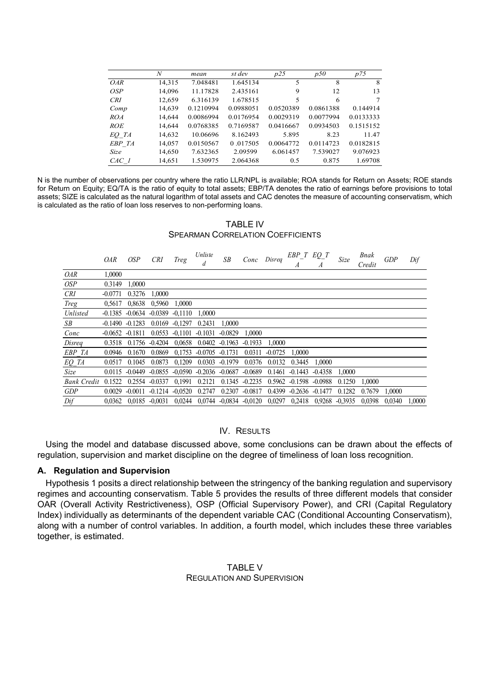|            | $\boldsymbol{N}$ | mean      | st dev    | p25       | p50       | p75       |
|------------|------------------|-----------|-----------|-----------|-----------|-----------|
| <i>OAR</i> | 14,315           | 7.048481  | 1.645134  | 5         | 8         | 8         |
| OSP        | 14,096           | 11.17828  | 2.435161  | 9         | 12        | 13        |
| <b>CRI</b> | 12,659           | 6.316139  | 1.678515  | 5         | 6         | 7         |
| Comp       | 14,639           | 0.1210994 | 0.0988051 | 0.0520389 | 0.0861388 | 0.144914  |
| ROA        | 14.644           | 0.0086994 | 0.0176954 | 0.0029319 | 0.0077994 | 0.0133333 |
| <i>ROE</i> | 14,644           | 0.0768385 | 0.7169587 | 0.0416667 | 0.0934503 | 0.1515152 |
| EQ TA      | 14,632           | 10.06696  | 8.162493  | 5.895     | 8.23      | 11.47     |
| EBP TA     | 14,057           | 0.0150567 | 0.017505  | 0.0064772 | 0.0114723 | 0.0182815 |
| Size       | 14,650           | 7.632365  | 2.09599   | 6.061457  | 7.539027  | 9.076923  |
| $CAC$ 1    | 14,651           | 1.530975  | 2.064368  | 0.5       | 0.875     | 1.69708   |

N is the number of observations per country where the ratio LLR/NPL is available; ROA stands for Return on Assets; ROE stands for Return on Equity; EQ/TA is the ratio of equity to total assets; EBP/TA denotes the ratio of earnings before provisions to total assets; SIZE is calculated as the natural logarithm of total assets and CAC denotes the measure of accounting conservatism, which is calculated as the ratio of loan loss reserves to non-performing loans.

TABLE IV SPEARMAN CORRELATION COEFFICIENTS

|               | <i>OAR</i> | <i>OSP</i>         | <b>CRI</b>                                                        | Treg                     | Unliste                               | SB     | Conc Disreq      |           | $EBP_T$ $EQ_T$                                                                          | A             | Size   | Bnak<br>Credit | GDP    | Dif    |
|---------------|------------|--------------------|-------------------------------------------------------------------|--------------------------|---------------------------------------|--------|------------------|-----------|-----------------------------------------------------------------------------------------|---------------|--------|----------------|--------|--------|
| OAR           | 1,0000     |                    |                                                                   |                          |                                       |        |                  |           |                                                                                         |               |        |                |        |        |
| OSP           | 0.3149     | 1,0000             |                                                                   |                          |                                       |        |                  |           |                                                                                         |               |        |                |        |        |
| <b>CRI</b>    | $-0.0771$  | 0.3276             | 1,0000                                                            |                          |                                       |        |                  |           |                                                                                         |               |        |                |        |        |
| Treg          | 0.5617     | 0,8638             | 0,5960                                                            | 1,0000                   |                                       |        |                  |           |                                                                                         |               |        |                |        |        |
| Unlisted      |            |                    | $-0.1385$ $-0.0634$ $-0.0389$ $-0.1110$ $1,0000$                  |                          |                                       |        |                  |           |                                                                                         |               |        |                |        |        |
| SB            |            | $-0.1490 - 0.1283$ |                                                                   | $0.0169 - 0.1297 0.2431$ |                                       | 1,0000 |                  |           |                                                                                         |               |        |                |        |        |
| Conc          |            | $-0.0652 -0.1811$  |                                                                   |                          | $0.0553 -0.1101 -0.1031 -0.0829$      |        | 1,0000           |           |                                                                                         |               |        |                |        |        |
| Disreq        |            |                    | $0.3518$ $0.1756$ $-0.4204$ $0.0658$ $0.0402$ $-0.1963$ $-0.1933$ |                          |                                       |        |                  | 1.0000    |                                                                                         |               |        |                |        |        |
| <i>EBP TA</i> | 0.0946     | 0.1670             |                                                                   |                          | $0.0869$ $0.1753$ $-0.0705$ $-0.1731$ |        | 0.0311           | $-0.0725$ | 1.0000                                                                                  |               |        |                |        |        |
| EQ TA         | 0.0517     | 0.1045             | 0.0873                                                            |                          | $0,1209$ $0.0303$ $-0.1979$           |        | 0.0376           | 0.0132    |                                                                                         | 0.3445 1,0000 |        |                |        |        |
| Size          |            |                    | $0.0115 - 0.0449 - 0.0855 - 0.0590 - 0.2036 - 0.0687 - 0.0689$    |                          |                                       |        |                  |           | $0.1461 - 0.1443 - 0.4358$                                                              |               | 1.0000 |                |        |        |
| Bank Credit   | 0.1522     |                    | $0.2554 -0.0337 -0.1991 -0.2121 -0.1345 -0.2235$                  |                          |                                       |        |                  |           | $0.5962 -0.1598 -0.0988$                                                                |               | 0.1250 | 1.0000         |        |        |
| GDP           | 0.0029     |                    | $-0.0011$ $-0.1214$ $-0.0520$ 0.2747                              |                          |                                       |        | $0.2307 -0.0817$ |           | $0.4399 - 0.2636 - 0.1477$                                                              |               | 0.1282 | 0.7679         | 1.0000 |        |
| Dif           |            |                    |                                                                   |                          |                                       |        |                  |           | 0.0362 0.0185 -0.0031 0.0244 0.0744 -0.0834 -0.0120 0.0297 0.2418 0.9268 -0.3935 0.0398 |               |        |                | 0.0340 | 1,0000 |

## IV. RESULTS

Using the model and database discussed above, some conclusions can be drawn about the effects of regulation, supervision and market discipline on the degree of timeliness of loan loss recognition.

### **A. Regulation and Supervision**

Hypothesis 1 posits a direct relationship between the stringency of the banking regulation and supervisory regimes and accounting conservatism. Table 5 provides the results of three different models that consider OAR (Overall Activity Restrictiveness), OSP (Official Supervisory Power), and CRI (Capital Regulatory Index) individually as determinants of the dependent variable CAC (Conditional Accounting Conservatism), along with a number of control variables. In addition, a fourth model, which includes these three variables together, is estimated.

## TABLE V REGULATION AND SUPERVISION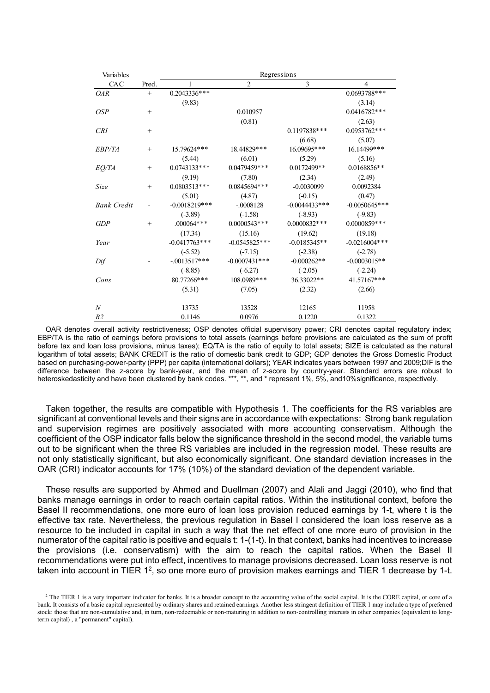| Variables          |        |                 |                 | Regressions     |                 |
|--------------------|--------|-----------------|-----------------|-----------------|-----------------|
| CAC                | Pred.  | 1               | $\overline{2}$  | 3               | $\overline{4}$  |
| <i>OAR</i>         | $^{+}$ | 0.2043336***    |                 |                 | 0.0693788***    |
|                    |        | (9.83)          |                 |                 | (3.14)          |
| OSP                | $^{+}$ |                 | 0.010957        |                 | $0.0416782***$  |
|                    |        |                 | (0.81)          |                 | (2.63)          |
| CRI                | $^{+}$ |                 |                 | 0.1197838***    | $0.0953762***$  |
|                    |        |                 |                 | (6.68)          | (5.07)          |
| EBP/TA             | $^{+}$ | 15.79624***     | 18.44829***     | 16.09695***     | 16.14499***     |
|                    |        | (5.44)          | (6.01)          | (5.29)          | (5.16)          |
| EQ/TA              | $^{+}$ | $0.0743133***$  | 0.0479459***    | $0.0172499**$   | 0.0168856**     |
|                    |        | (9.19)          | (7.80)          | (2.34)          | (2.49)          |
| Size               | $^{+}$ | $0.0803513***$  | 0.0845694***    | $-0.0030099$    | 0.0092384       |
|                    |        | (5.01)          | (4.87)          | $(-0.15)$       | (0.47)          |
| <b>Bank Credit</b> |        | $-0.0018219***$ | $-.0008128$     | $-0.0044433***$ | $-0.0050645***$ |
|                    |        | $(-3.89)$       | $(-1.58)$       | $(-8.93)$       | $(-9.83)$       |
| GDP                | $^{+}$ | $.000064***$    | $0.0000543***$  | 0.0000832***    | $0.0000859***$  |
|                    |        | (17.34)         | (15.16)         | (19.62)         | (19.18)         |
| Year               |        | $-0.0417763***$ | $-0.0545825***$ | $-0.0185345**$  | $-0.0216004***$ |
|                    |        | $(-5.52)$       | $(-7.15)$       | $(-2.38)$       | $(-2.78)$       |
| Dif                |        | $-.0013517***$  | $-0.0007431***$ | $-0.000262**$   | $-0.0003015**$  |
|                    |        | $(-8.85)$       | $(-6.27)$       | $(-2.05)$       | $(-2.24)$       |
| Cons               |        | 80.77266***     | 108.0989***     | 36.33022**      | 41.57167***     |
|                    |        | (5.31)          | (7.05)          | (2.32)          | (2.66)          |
| $\boldsymbol{N}$   |        | 13735           | 13528           | 12165           | 11958           |
| R <sub>2</sub>     |        | 0.1146          | 0.0976          | 0.1220          | 0.1322          |

OAR denotes overall activity restrictiveness; OSP denotes official supervisory power; CRI denotes capital regulatory index; EBP/TA is the ratio of earnings before provisions to total assets (earnings before provisions are calculated as the sum of profit before tax and loan loss provisions, minus taxes); EQ/TA is the ratio of equity to total assets; SIZE is calculated as the natural logarithm of total assets; BANK CREDIT is the ratio of domestic bank credit to GDP; GDP denotes the Gross Domestic Product based on purchasing-power-parity (PPP) per capita (international dollars); YEAR indicates years between 1997 and 2009;DIF is the difference between the z-score by bank-year, and the mean of z-score by country-year. Standard errors are robust to heteroskedasticity and have been clustered by bank codes. \*\*\*, \*\*, and \* represent 1%, 5%, and10%significance, respectively.

Taken together, the results are compatible with Hypothesis 1. The coefficients for the RS variables are significant at conventional levels and their signs are in accordance with expectations: Strong bank regulation and supervision regimes are positively associated with more accounting conservatism. Although the coefficient of the OSP indicator falls below the significance threshold in the second model, the variable turns out to be significant when the three RS variables are included in the regression model. These results are not only statistically significant, but also economically significant. One standard deviation increases in the OAR (CRI) indicator accounts for 17% (10%) of the standard deviation of the dependent variable.

These results are supported by Ahmed and Duellman (2007) and Alali and Jaggi (2010), who find that banks manage earnings in order to reach certain capital ratios. Within the institutional context, before the Basel II recommendations, one more euro of loan loss provision reduced earnings by 1-t, where t is the effective tax rate. Nevertheless, the previous regulation in Basel I considered the loan loss reserve as a resource to be included in capital in such a way that the net effect of one more euro of provision in the numerator of the capital ratio is positive and equals t: 1-(1-t). In that context, banks had incentives to increase the provisions (i.e. conservatism) with the aim to reach the capital ratios. When the Basel II recommendations were put into effect, incentives to manage provisions decreased. Loan loss reserve is not taken into account in TIER 1<sup>2</sup>, so one more euro of provision makes earnings and TIER 1 decrease by 1-t.

<sup>&</sup>lt;sup>2</sup> The TIER 1 is a very important indicator for banks. It is a broader concept to the accounting value of the social capital. It is the CORE capital, or core of a bank. It consists of a basic capital represented by ordinary shares and retained earnings. Another less stringent definition of TIER 1 may include a type of preferred stock: those that are non-cumulative and, in turn, non-redeemable or non-maturing in addition to non-controlling interests in other companies (equivalent to longterm capital) , a "permanent" capital).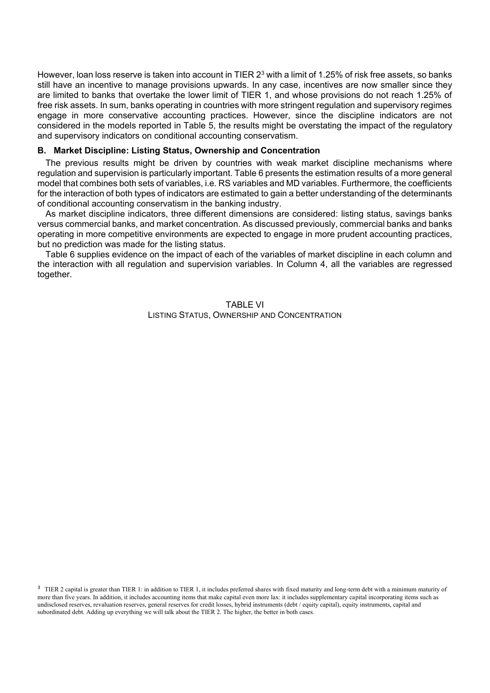However, loan loss reserve is taken into account in TIER  $2<sup>3</sup>$  with a limit of 1.25% of risk free assets, so banks still have an incentive to manage provisions upwards. In any case, incentives are now smaller since they are limited to banks that overtake the lower limit of TIER 1, and whose provisions do not reach 1.25% of free risk assets. In sum, banks operating in countries with more stringent regulation and supervisory regimes engage in more conservative accounting practices. However, since the discipline indicators are not considered in the models reported in Table 5, the results might be overstating the impact of the regulatory and supervisory indicators on conditional accounting conservatism.

## **B. Market Discipline: Listing Status, Ownership and Concentration**

The previous results might be driven by countries with weak market discipline mechanisms where regulation and supervision is particularly important. Table 6 presents the estimation results of a more general model that combines both sets of variables, i.e. RS variables and MD variables. Furthermore, the coefficients for the interaction of both types of indicators are estimated to gain a better understanding of the determinants of conditional accounting conservatism in the banking industry.

As market discipline indicators, three different dimensions are considered: listing status, savings banks versus commercial banks, and market concentration. As discussed previously, commercial banks and banks operating in more competitive environments are expected to engage in more prudent accounting practices, but no prediction was made for the listing status.

Table 6 supplies evidence on the impact of each of the variables of market discipline in each column and the interaction with all regulation and supervision variables. In Column 4, all the variables are regressed together.

> TABLE VI LISTING STATUS, OWNERSHIP AND CONCENTRATION

<sup>&</sup>lt;sup>3</sup> TIER 2 capital is greater than TIER 1: in addition to TIER 1, it includes preferred shares with fixed maturity and long-term debt with a minimum maturity of more than five years. In addition, it includes accounting items that make capital even more lax: it includes supplementary capital incorporating items such as undisclosed reserves, revaluation reserves, general reserves for credit losses, hybrid instruments (debt / equity capital), equity instruments, capital and subordinated debt. Adding up everything we will talk about the TIER 2. The higher, the better in both cases.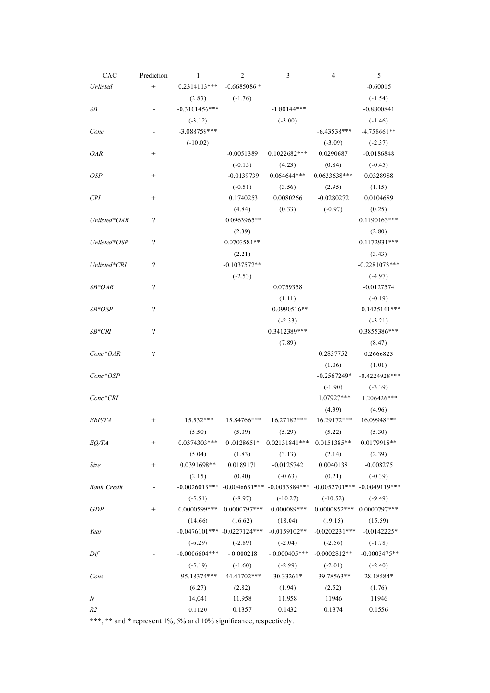| CAC                   | Prediction              | 1                               | $\mathbf{2}$   | 3                                                                               | 4               | 5               |
|-----------------------|-------------------------|---------------------------------|----------------|---------------------------------------------------------------------------------|-----------------|-----------------|
| Unlisted              | $^+$                    | $0.2314113***$                  | $-0.6685086*$  |                                                                                 |                 | $-0.60015$      |
|                       |                         | (2.83)                          | $(-1.76)$      |                                                                                 |                 | $(-1.54)$       |
| SB                    |                         | $-0.3101456***$                 |                | $-1.80144***$                                                                   |                 | $-0.8800841$    |
|                       |                         | $(-3.12)$                       |                | $(-3.00)$                                                                       |                 | $(-1.46)$       |
| Conc                  |                         | $-3.088759***$                  |                |                                                                                 | $-6.43538***$   | $-4.758661**$   |
|                       |                         | $(-10.02)$                      |                |                                                                                 | $(-3.09)$       | $(-2.37)$       |
| <i>OAR</i>            | $^{+}$                  |                                 | $-0.0051389$   | $0.1022682***$                                                                  | 0.0290687       | $-0.0186848$    |
|                       |                         |                                 | $(-0.15)$      | (4.23)                                                                          | (0.84)          | $(-0.45)$       |
| <b>OSP</b>            | $^{+}$                  |                                 | $-0.0139739$   | $0.064644***$                                                                   | 0.0633638***    | 0.0328988       |
|                       |                         |                                 | $(-0.51)$      | (3.56)                                                                          | (2.95)          | (1.15)          |
| <b>CRI</b>            | $^{+}$                  |                                 | 0.1740253      | 0.0080266                                                                       | $-0.0280272$    | 0.0104689       |
|                       |                         |                                 | (4.84)         | (0.33)                                                                          | $(-0.97)$       | (0.25)          |
| Unlisted*OAR          | $\overline{\cdot}$      |                                 | 0.0963965**    |                                                                                 |                 | $0.1190163***$  |
|                       |                         |                                 | (2.39)         |                                                                                 |                 | (2.80)          |
| Unlisted*OSP          | $\overline{\cdot}$      |                                 | $0.0703581**$  |                                                                                 |                 | $0.1172931***$  |
|                       |                         |                                 | (2.21)         |                                                                                 |                 | (3.43)          |
| Unlisted*CRI          | $\overline{?}$          |                                 | $-0.1037572**$ |                                                                                 |                 | $-0.2281073***$ |
|                       |                         |                                 | $(-2.53)$      |                                                                                 |                 | $(-4.97)$       |
| $SB*OAR$              | $\overline{\mathbf{?}}$ |                                 |                | 0.0759358                                                                       |                 | $-0.0127574$    |
|                       |                         |                                 |                | (1.11)                                                                          |                 | $(-0.19)$       |
| SB*OSP                | $\overline{\cdot}$      |                                 |                | $-0.0990516**$                                                                  |                 | $-0.1425141***$ |
|                       |                         |                                 |                | $(-2.33)$                                                                       |                 | $(-3.21)$       |
| SB*CRI                | $\overline{?}$          |                                 |                | 0.3412389***                                                                    |                 | 0.3855386***    |
|                       |                         |                                 |                | (7.89)                                                                          |                 | (8.47)          |
| Conc*OAR              | $\overline{\cdot}$      |                                 |                |                                                                                 | 0.2837752       | 0.2666823       |
|                       |                         |                                 |                |                                                                                 | (1.06)          | (1.01)          |
| Conc*OSP              |                         |                                 |                |                                                                                 | $-0.2567249*$   | $-0.4224928***$ |
|                       |                         |                                 |                |                                                                                 | $(-1.90)$       | $(-3.39)$       |
| Conc <sup>*</sup> CRI |                         |                                 |                |                                                                                 | 1.07927***      | 1.206426***     |
|                       |                         |                                 |                |                                                                                 | (4.39)          | (4.96)          |
| <i>EBP/TA</i>         | $^{+}$                  | $15.532***$                     | 15.84766***    | 16.27182***                                                                     | 16.29172***     | 16.09948***     |
|                       |                         | (5.50)                          | (5.09)         | (5.29)                                                                          | (5.22)          | (5.30)          |
| <i>EQ/TA</i>          | $^{+}$                  | $0.0374303***$                  | $0.0128651*$   | $0.02131841***$                                                                 | $0.0151385**$   | $0.0179918**$   |
|                       |                         | (5.04)                          | (1.83)         | (3.13)                                                                          | (2.14)          | (2.39)          |
| Size                  | $\! + \!\!\!\!$         | 0.0391698**                     | 0.0189171      | $-0.0125742$                                                                    | 0.0040138       | $-0.008275$     |
|                       |                         | (2.15)                          | (0.90)         | $(-0.63)$                                                                       | (0.21)          | $(-0.39)$       |
| Bank Credit           |                         |                                 |                | $-0.0026013***$ $-0.0046631***$ $-0.0053884***$ $-0.0052701***$ $-0.0049119***$ |                 |                 |
|                       |                         | $(-5.51)$                       | $(-8.97)$      | $(-10.27)$                                                                      | $(-10.52)$      | $(-9.49)$       |
| GDP                   | $^{+}$                  | 0.0000599***                    | $0.0000797***$ | $0.000089***$                                                                   | $0.0000852***$  | 0.0000797***    |
|                       |                         | (14.66)                         | (16.62)        | (18.04)                                                                         | (19.15)         | (15.59)         |
| Year                  |                         | $-0.0476101***$ $-0.0227124***$ |                | $-0.0159102**$                                                                  | $-0.0202231***$ | $-0.0142225*$   |
|                       |                         | $(-6.29)$                       | $(-2.89)$      | $(-2.04)$                                                                       | $(-2.56)$       | $(-1.78)$       |
| Dif                   |                         | $-0.0006604***$                 | $-0.000218$    | $-0.000405***$                                                                  | $-0.0002812**$  | $-0.0003475**$  |
|                       |                         | $(-5.19)$                       | $(-1.60)$      | $(-2.99)$                                                                       | $(-2.01)$       | $(-2.40)$       |
| Cons                  |                         | 95.18374***                     | 44.41702***    | 30.33261*                                                                       | 39.78563**      | 28.18584*       |
|                       |                         | (6.27)                          | (2.82)         | (1.94)                                                                          | (2.52)          | (1.76)          |
| N                     |                         | 14,041                          | 11.958         | 11.958                                                                          | 11946           | 11946           |
| R2                    |                         | 0.1120                          | 0.1357         | 0.1432                                                                          | 0.1374          | 0.1556          |

\*\*\*, \*\* and \* represent 1%, 5% and 10% significance, respectively.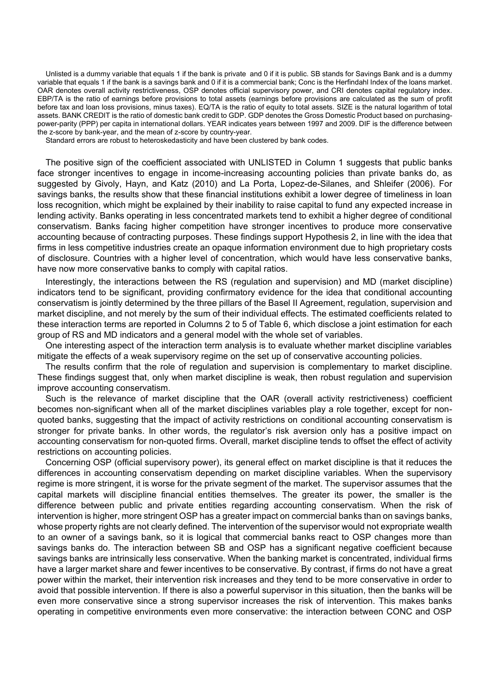Unlisted is a dummy variable that equals 1 if the bank is private and 0 if it is public. SB stands for Savings Bank and is a dummy variable that equals 1 if the bank is a savings bank and 0 if it is a commercial bank; Conc is the Herfindahl Index of the loans market. OAR denotes overall activity restrictiveness, OSP denotes official supervisory power, and CRI denotes capital regulatory index. EBP/TA is the ratio of earnings before provisions to total assets (earnings before provisions are calculated as the sum of profit before tax and loan loss provisions, minus taxes). EQ/TA is the ratio of equity to total assets. SIZE is the natural logarithm of total assets. BANK CREDIT is the ratio of domestic bank credit to GDP. GDP denotes the Gross Domestic Product based on purchasingpower-parity (PPP) per capita in international dollars. YEAR indicates years between 1997 and 2009. DIF is the difference between the z-score by bank-year, and the mean of z-score by country-year.

Standard errors are robust to heteroskedasticity and have been clustered by bank codes.

The positive sign of the coefficient associated with UNLISTED in Column 1 suggests that public banks face stronger incentives to engage in income-increasing accounting policies than private banks do, as suggested by Givoly, Hayn, and Katz (2010) and La Porta, Lopez-de-Silanes, and Shleifer (2006). For savings banks, the results show that these financial institutions exhibit a lower degree of timeliness in loan loss recognition, which might be explained by their inability to raise capital to fund any expected increase in lending activity. Banks operating in less concentrated markets tend to exhibit a higher degree of conditional conservatism. Banks facing higher competition have stronger incentives to produce more conservative accounting because of contracting purposes. These findings support Hypothesis 2, in line with the idea that firms in less competitive industries create an opaque information environment due to high proprietary costs of disclosure. Countries with a higher level of concentration, which would have less conservative banks, have now more conservative banks to comply with capital ratios.

Interestingly, the interactions between the RS (regulation and supervision) and MD (market discipline) indicators tend to be significant, providing confirmatory evidence for the idea that conditional accounting conservatism is jointly determined by the three pillars of the Basel II Agreement, regulation, supervision and market discipline, and not merely by the sum of their individual effects. The estimated coefficients related to these interaction terms are reported in Columns 2 to 5 of Table 6, which disclose a joint estimation for each group of RS and MD indicators and a general model with the whole set of variables.

One interesting aspect of the interaction term analysis is to evaluate whether market discipline variables mitigate the effects of a weak supervisory regime on the set up of conservative accounting policies.

The results confirm that the role of regulation and supervision is complementary to market discipline. These findings suggest that, only when market discipline is weak, then robust regulation and supervision improve accounting conservatism.

Such is the relevance of market discipline that the OAR (overall activity restrictiveness) coefficient becomes non-significant when all of the market disciplines variables play a role together, except for nonquoted banks, suggesting that the impact of activity restrictions on conditional accounting conservatism is stronger for private banks. In other words, the regulator's risk aversion only has a positive impact on accounting conservatism for non-quoted firms. Overall, market discipline tends to offset the effect of activity restrictions on accounting policies.

Concerning OSP (official supervisory power), its general effect on market discipline is that it reduces the differences in accounting conservatism depending on market discipline variables. When the supervisory regime is more stringent, it is worse for the private segment of the market. The supervisor assumes that the capital markets will discipline financial entities themselves. The greater its power, the smaller is the difference between public and private entities regarding accounting conservatism. When the risk of intervention is higher, more stringent OSP has a greater impact on commercial banks than on savings banks, whose property rights are not clearly defined. The intervention of the supervisor would not expropriate wealth to an owner of a savings bank, so it is logical that commercial banks react to OSP changes more than savings banks do. The interaction between SB and OSP has a significant negative coefficient because savings banks are intrinsically less conservative. When the banking market is concentrated, individual firms have a larger market share and fewer incentives to be conservative. By contrast, if firms do not have a great power within the market, their intervention risk increases and they tend to be more conservative in order to avoid that possible intervention. If there is also a powerful supervisor in this situation, then the banks will be even more conservative since a strong supervisor increases the risk of intervention. This makes banks operating in competitive environments even more conservative: the interaction between CONC and OSP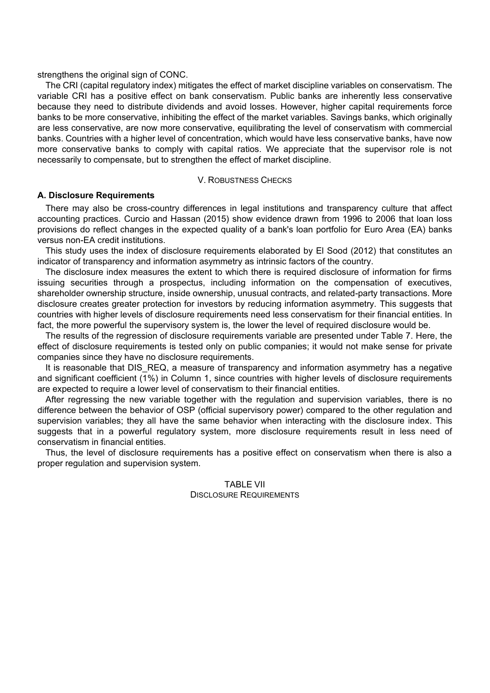strengthens the original sign of CONC.

The CRI (capital regulatory index) mitigates the effect of market discipline variables on conservatism. The variable CRI has a positive effect on bank conservatism. Public banks are inherently less conservative because they need to distribute dividends and avoid losses. However, higher capital requirements force banks to be more conservative, inhibiting the effect of the market variables. Savings banks, which originally are less conservative, are now more conservative, equilibrating the level of conservatism with commercial banks. Countries with a higher level of concentration, which would have less conservative banks, have now more conservative banks to comply with capital ratios. We appreciate that the supervisor role is not necessarily to compensate, but to strengthen the effect of market discipline.

### V. ROBUSTNESS CHECKS

## **A. Disclosure Requirements**

There may also be cross-country differences in legal institutions and transparency culture that affect accounting practices. Curcio and Hassan (2015) show evidence drawn from 1996 to 2006 that loan loss provisions do reflect changes in the expected quality of a bank's loan portfolio for Euro Area (EA) banks versus non-EA credit institutions.

This study uses the index of disclosure requirements elaborated by El Sood (2012) that constitutes an indicator of transparency and information asymmetry as intrinsic factors of the country.

The disclosure index measures the extent to which there is required disclosure of information for firms issuing securities through a prospectus, including information on the compensation of executives, shareholder ownership structure, inside ownership, unusual contracts, and related-party transactions. More disclosure creates greater protection for investors by reducing information asymmetry. This suggests that countries with higher levels of disclosure requirements need less conservatism for their financial entities. In fact, the more powerful the supervisory system is, the lower the level of required disclosure would be.

The results of the regression of disclosure requirements variable are presented under Table 7. Here, the effect of disclosure requirements is tested only on public companies; it would not make sense for private companies since they have no disclosure requirements.

It is reasonable that DIS REQ, a measure of transparency and information asymmetry has a negative and significant coefficient (1%) in Column 1, since countries with higher levels of disclosure requirements are expected to require a lower level of conservatism to their financial entities.

After regressing the new variable together with the regulation and supervision variables, there is no difference between the behavior of OSP (official supervisory power) compared to the other regulation and supervision variables; they all have the same behavior when interacting with the disclosure index. This suggests that in a powerful regulatory system, more disclosure requirements result in less need of conservatism in financial entities.

Thus, the level of disclosure requirements has a positive effect on conservatism when there is also a proper regulation and supervision system.

## TABLE VII DISCLOSURE REQUIREMENTS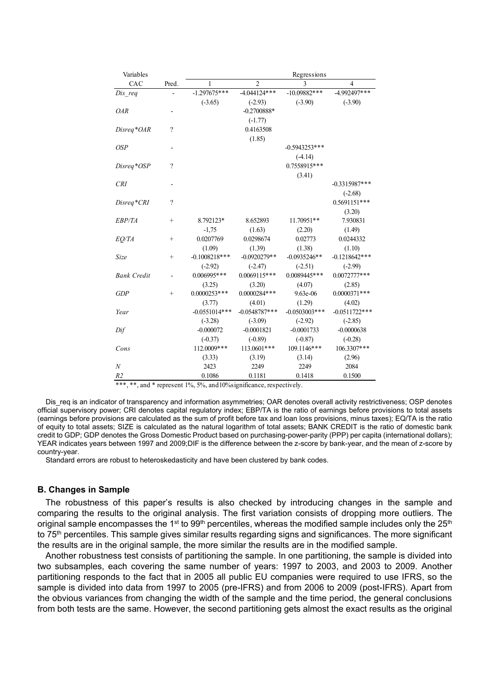| Variables          |                    | Regressions     |                 |                  |                 |  |  |
|--------------------|--------------------|-----------------|-----------------|------------------|-----------------|--|--|
| CAC                | Pred.              | 1               | $\overline{2}$  | 3                | $\overline{4}$  |  |  |
| $Dis\_req$         |                    | $-1.297675***$  | $-4.044124***$  | $-10.09882***$   | $-4.992497***$  |  |  |
|                    |                    | $(-3.65)$       | $(-2.93)$       | $(-3.90)$        | $(-3.90)$       |  |  |
| <b>OAR</b>         |                    |                 | $-0.2700888*$   |                  |                 |  |  |
|                    |                    |                 | $(-1.77)$       |                  |                 |  |  |
| Disreq*OAR         | $\overline{\cdot}$ |                 | 0.4163508       |                  |                 |  |  |
|                    |                    |                 | (1.85)          |                  |                 |  |  |
| <b>OSP</b>         |                    |                 |                 | $-0.5943253***$  |                 |  |  |
|                    |                    |                 |                 | $(-4.14)$        |                 |  |  |
| Disreq*OSP         | $\overline{\cdot}$ |                 |                 | 0.7558915***     |                 |  |  |
|                    |                    |                 |                 | (3.41)           |                 |  |  |
| <b>CRI</b>         |                    |                 |                 |                  | $-0.3315987***$ |  |  |
|                    |                    |                 |                 |                  | $(-2.68)$       |  |  |
| Disreq*CRI         | $\overline{\cdot}$ |                 |                 |                  | 0.5691151***    |  |  |
|                    |                    |                 |                 |                  | (3.20)          |  |  |
| EBP/TA             | $^{+}$             | 8.792123*       | 8.652893        | 11.70951**       | 7.930831        |  |  |
|                    |                    | $-1,75$         | (1.63)          | (2.20)           | (1.49)          |  |  |
| EQ/TA              | $^{+}$             | 0.0207769       | 0.0298674       | 0.02773          | 0.0244332       |  |  |
|                    |                    | (1.09)          | (1.39)          | (1.38)           | (1.10)          |  |  |
| Size               | $^{+}$             | $-0.1008218***$ | $-0.0920279**$  | $-0.0935246**$   | $-0.1218642***$ |  |  |
|                    |                    | $(-2.92)$       | $(-2.47)$       | $(-2.51)$        | $(-2.99)$       |  |  |
| <b>Bank Credit</b> |                    | $0.006995***$   | $0.0069115***$  | 0.0089445***     | $0.0072777***$  |  |  |
|                    |                    | (3.25)          | (3.20)          | (4.07)           | (2.85)          |  |  |
| GDP                | $^{+}$             | $0.0000253***$  | $0.0000284***$  | $9.63e-06$       | $0.0000371***$  |  |  |
|                    |                    | (3.77)          | (4.01)          | (1.29)           | (4.02)          |  |  |
| Year               |                    | $-0.0551014***$ | $-0.0548787***$ | $-0.0503003$ *** | $-0.0511722***$ |  |  |
|                    |                    | $(-3.28)$       | $(-3.09)$       | $(-2.92)$        | $(-2.85)$       |  |  |
| Dif                |                    | $-0.000072$     | $-0.0001821$    | $-0.0001733$     | $-0.0000638$    |  |  |
|                    |                    | $(-0.37)$       | $(-0.89)$       | $(-0.87)$        | $(-0.28)$       |  |  |
| Cons               |                    | 112.0009***     | 113.0601***     | 109.1146***      | 106.3307***     |  |  |
|                    |                    | (3.33)          | (3.19)          | (3.14)           | (2.96)          |  |  |
| $\boldsymbol{N}$   |                    | 2423            | 2249            | 2249             | 2084            |  |  |
| R <sub>2</sub>     |                    | 0.1086          | 0.1181          | 0.1418           | 0.1500          |  |  |

\*\*\*, \*\*, and \* represent 1%, 5%, and 10% significance, respectively.

Dis\_req is an indicator of transparency and information asymmetries; OAR denotes overall activity restrictiveness; OSP denotes official supervisory power; CRI denotes capital regulatory index; EBP/TA is the ratio of earnings before provisions to total assets (earnings before provisions are calculated as the sum of profit before tax and loan loss provisions, minus taxes); EQ/TA is the ratio of equity to total assets; SIZE is calculated as the natural logarithm of total assets; BANK CREDIT is the ratio of domestic bank credit to GDP; GDP denotes the Gross Domestic Product based on purchasing-power-parity (PPP) per capita (international dollars); YEAR indicates years between 1997 and 2009;DIF is the difference between the z-score by bank-year, and the mean of z-score by country-year.

Standard errors are robust to heteroskedasticity and have been clustered by bank codes.

### **B. Changes in Sample**

The robustness of this paper's results is also checked by introducing changes in the sample and comparing the results to the original analysis. The first variation consists of dropping more outliers. The original sample encompasses the 1 $^{\rm st}$  to 99 $^{\rm th}$  percentiles, whereas the modified sample includes only the 25 $^{\rm th}$ to 75<sup>th</sup> percentiles. This sample gives similar results regarding signs and significances. The more significant the results are in the original sample, the more similar the results are in the modified sample.

Another robustness test consists of partitioning the sample. In one partitioning, the sample is divided into two subsamples, each covering the same number of years: 1997 to 2003, and 2003 to 2009. Another partitioning responds to the fact that in 2005 all public EU companies were required to use IFRS, so the sample is divided into data from 1997 to 2005 (pre-IFRS) and from 2006 to 2009 (post-IFRS). Apart from the obvious variances from changing the width of the sample and the time period, the general conclusions from both tests are the same. However, the second partitioning gets almost the exact results as the original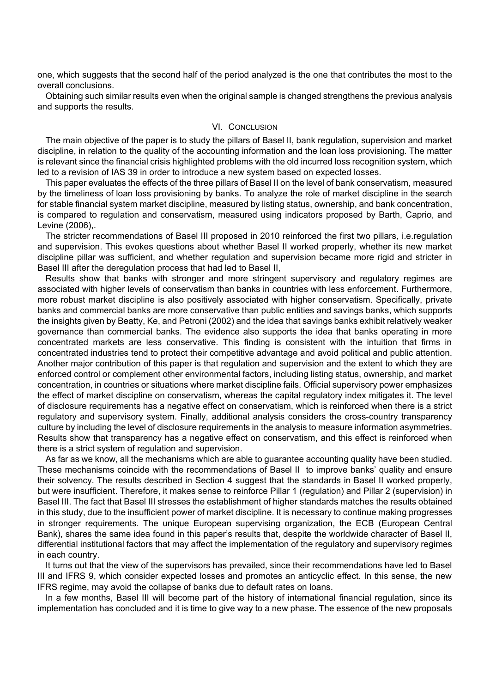one, which suggests that the second half of the period analyzed is the one that contributes the most to the overall conclusions.

Obtaining such similar results even when the original sample is changed strengthens the previous analysis and supports the results.

#### VI. CONCLUSION

The main objective of the paper is to study the pillars of Basel II, bank regulation, supervision and market discipline, in relation to the quality of the accounting information and the loan loss provisioning. The matter is relevant since the financial crisis highlighted problems with the old incurred loss recognition system, which led to a revision of IAS 39 in order to introduce a new system based on expected losses.

This paper evaluates the effects of the three pillars of Basel II on the level of bank conservatism, measured by the timeliness of loan loss provisioning by banks. To analyze the role of market discipline in the search for stable financial system market discipline, measured by listing status, ownership, and bank concentration, is compared to regulation and conservatism, measured using indicators proposed by Barth, Caprio, and Levine (2006),.

The stricter recommendations of Basel III proposed in 2010 reinforced the first two pillars, i.e.regulation and supervision. This evokes questions about whether Basel II worked properly, whether its new market discipline pillar was sufficient, and whether regulation and supervision became more rigid and stricter in Basel III after the deregulation process that had led to Basel II,

Results show that banks with stronger and more stringent supervisory and regulatory regimes are associated with higher levels of conservatism than banks in countries with less enforcement. Furthermore, more robust market discipline is also positively associated with higher conservatism. Specifically, private banks and commercial banks are more conservative than public entities and savings banks, which supports the insights given by Beatty, Ke, and Petroni (2002) and the idea that savings banks exhibit relatively weaker governance than commercial banks. The evidence also supports the idea that banks operating in more concentrated markets are less conservative. This finding is consistent with the intuition that firms in concentrated industries tend to protect their competitive advantage and avoid political and public attention. Another major contribution of this paper is that regulation and supervision and the extent to which they are enforced control or complement other environmental factors, including listing status, ownership, and market concentration, in countries or situations where market discipline fails. Official supervisory power emphasizes the effect of market discipline on conservatism, whereas the capital regulatory index mitigates it. The level of disclosure requirements has a negative effect on conservatism, which is reinforced when there is a strict regulatory and supervisory system. Finally, additional analysis considers the cross-country transparency culture by including the level of disclosure requirements in the analysis to measure information asymmetries. Results show that transparency has a negative effect on conservatism, and this effect is reinforced when there is a strict system of regulation and supervision.

As far as we know, all the mechanisms which are able to guarantee accounting quality have been studied. These mechanisms coincide with the recommendations of Basel II to improve banks' quality and ensure their solvency. The results described in Section 4 suggest that the standards in Basel II worked properly, but were insufficient. Therefore, it makes sense to reinforce Pillar 1 (regulation) and Pillar 2 (supervision) in Basel III. The fact that Basel III stresses the establishment of higher standards matches the results obtained in this study, due to the insufficient power of market discipline. It is necessary to continue making progresses in stronger requirements. The unique European supervising organization, the ECB (European Central Bank), shares the same idea found in this paper's results that, despite the worldwide character of Basel II, differential institutional factors that may affect the implementation of the regulatory and supervisory regimes in each country.

It turns out that the view of the supervisors has prevailed, since their recommendations have led to Basel III and IFRS 9, which consider expected losses and promotes an anticyclic effect. In this sense, the new IFRS regime, may avoid the collapse of banks due to default rates on loans.

In a few months, Basel III will become part of the history of international financial regulation, since its implementation has concluded and it is time to give way to a new phase. The essence of the new proposals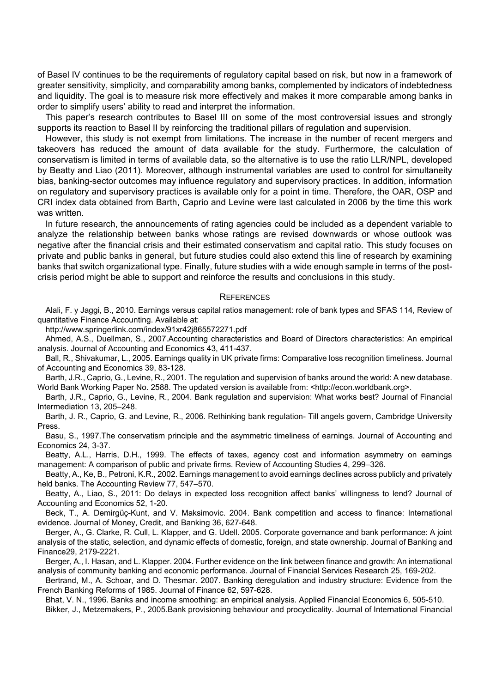of Basel IV continues to be the requirements of regulatory capital based on risk, but now in a framework of greater sensitivity, simplicity, and comparability among banks, complemented by indicators of indebtedness and liquidity. The goal is to measure risk more effectively and makes it more comparable among banks in order to simplify users' ability to read and interpret the information.

This paper's research contributes to Basel III on some of the most controversial issues and strongly supports its reaction to Basel II by reinforcing the traditional pillars of regulation and supervision.

However, this study is not exempt from limitations. The increase in the number of recent mergers and takeovers has reduced the amount of data available for the study. Furthermore, the calculation of conservatism is limited in terms of available data, so the alternative is to use the ratio LLR/NPL, developed by Beatty and Liao (2011). Moreover, although instrumental variables are used to control for simultaneity bias, banking-sector outcomes may influence regulatory and supervisory practices. In addition, information on regulatory and supervisory practices is available only for a point in time. Therefore, the OAR, OSP and CRI index data obtained from Barth, Caprio and Levine were last calculated in 2006 by the time this work was written.

In future research, the announcements of rating agencies could be included as a dependent variable to analyze the relationship between banks whose ratings are revised downwards or whose outlook was negative after the financial crisis and their estimated conservatism and capital ratio. This study focuses on private and public banks in general, but future studies could also extend this line of research by examining banks that switch organizational type. Finally, future studies with a wide enough sample in terms of the postcrisis period might be able to support and reinforce the results and conclusions in this study.

#### **REFERENCES**

Alali, F. y Jaggi, B., 2010. Earnings versus capital ratios management: role of bank types and SFAS 114, Review of quantitative Finance Accounting. Available at:

http://www.springerlink.com/index/91xr42j865572271.pdf

Ahmed, A.S., Duellman, S., 2007.Accounting characteristics and Board of Directors characteristics: An empirical analysis. Journal of Accounting and Economics 43, 411-437.

Ball, R., Shivakumar, L., 2005. Earnings quality in UK private firms: Comparative loss recognition timeliness. Journal of Accounting and Economics 39, 83-128.

Barth, J.R., Caprio, G., Levine, R., 2001. The regulation and supervision of banks around the world: A new database. World Bank Working Paper No. 2588. The updated version is available from: <http://econ.worldbank.org>.

Barth, J.R., Caprio, G., Levine, R., 2004. Bank regulation and supervision: What works best? Journal of Financial Intermediation 13, 205–248.

Barth, J. R., Caprio, G. and Levine, R., 2006. Rethinking bank regulation- Till angels govern, Cambridge University Press.

Basu, S., 1997.The conservatism principle and the asymmetric timeliness of earnings. Journal of Accounting and Economics 24, 3-37.

Beatty, A.L., Harris, D.H., 1999. The effects of taxes, agency cost and information asymmetry on earnings management: A comparison of public and private firms. Review of Accounting Studies 4, 299–326.

Beatty, A., Ke, B., Petroni, K.R., 2002. Earnings management to avoid earnings declines across publicly and privately held banks. The Accounting Review 77, 547–570.

Beatty, A., Liao, S., 2011: Do delays in expected loss recognition affect banks' willingness to lend? Journal of Accounting and Economics 52, 1-20.

Beck, T., A. Demirgüç-Kunt, and V. Maksimovic. 2004. Bank competition and access to finance: International evidence. Journal of Money, Credit, and Banking 36, 627-648.

Berger, A., G. Clarke, R. Cull, L. Klapper, and G. Udell. 2005. Corporate governance and bank performance: A joint analysis of the static, selection, and dynamic effects of domestic, foreign, and state ownership. Journal of Banking and Finance29, 2179-2221.

Berger, A., I. Hasan, and L. Klapper. 2004. Further evidence on the link between finance and growth: An international analysis of community banking and economic performance. Journal of Financial Services Research 25, 169-202.

Bertrand, M., A. Schoar, and D. Thesmar. 2007. Banking deregulation and industry structure: Evidence from the French Banking Reforms of 1985. Journal of Finance 62, 597-628.

Bhat, V. N., 1996. Banks and income smoothing: an empirical analysis. Applied Financial Economics 6, 505-510.

Bikker, J., Metzemakers, P., 2005.Bank provisioning behaviour and procyclicality. Journal of International Financial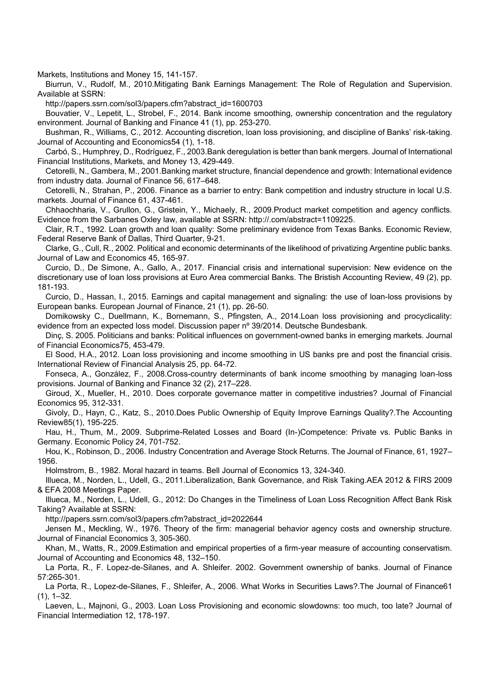Markets, Institutions and Money 15, 141-157.

Biurrun, V., Rudolf, M., 2010.Mitigating Bank Earnings Management: The Role of Regulation and Supervision. Available at SSRN:

http://papers.ssrn.com/sol3/papers.cfm?abstract\_id=1600703

Bouvatier, V., Lepetit, L., Strobel, F., 2014. Bank income smoothing, ownership concentration and the regulatory environment. Journal of Banking and Finance 41 (1), pp. 253-270.

Bushman, R., Williams, C., 2012. Accounting discretion, loan loss provisioning, and discipline of Banks' risk-taking. Journal of Accounting and Economics54 (1), 1-18.

Carbó, S., Humphrey, D., Rodríguez, F., 2003.Bank deregulation is better than bank mergers. Journal of International Financial Institutions, Markets, and Money 13, 429-449.

Cetorelli, N., Gambera, M., 2001.Banking market structure, financial dependence and growth: International evidence from industry data. Journal of Finance 56, 617–648.

Cetorelli, N., Strahan, P., 2006. Finance as a barrier to entry: Bank competition and industry structure in local U.S. markets. Journal of Finance 61, 437-461.

Chhaochharia, V., Grullon, G., Gristein, Y., Michaely, R., 2009.Product market competition and agency conflicts. Evidence from the Sarbanes Oxley law, available at SSRN: http://.com/abstract=1109225.

Clair, R.T., 1992. Loan growth and loan quality: Some preliminary evidence from Texas Banks. Economic Review, Federal Reserve Bank of Dallas, Third Quarter, 9-21.

Clarke, G., Cull, R., 2002. Political and economic determinants of the likelihood of privatizing Argentine public banks. Journal of Law and Economics 45, 165-97.

Curcio, D., De Simone, A., Gallo, A., 2017. Financial crisis and international supervision: New evidence on the discretionary use of loan loss provisions at Euro Area commercial Banks. The Bristish Accounting Review, 49 (2), pp. 181-193.

Curcio, D., Hassan, I., 2015. Earnings and capital management and signaling: the use of loan-loss provisions by European banks. European Journal of Finance, 21 (1), pp. 26-50.

Domikowsky C., Duellmann, K., Bornemann, S., Pfingsten, A., 2014.Loan loss provisioning and procyclicality: evidence from an expected loss model. Discussion paper nº 39/2014. Deutsche Bundesbank.

Dinç, S. 2005. Politicians and banks: Political influences on government-owned banks in emerging markets. Journal of Financial Economics75, 453-479.

El Sood, H.A., 2012. Loan loss provisioning and income smoothing in US banks pre and post the financial crisis. International Review of Financial Analysis 25, pp. 64-72.

Fonseca, A., González, F., 2008.Cross-country determinants of bank income smoothing by managing loan-loss provisions. Journal of Banking and Finance 32 (2), 217–228.

Giroud, X., Mueller, H., 2010. Does corporate governance matter in competitive industries? Journal of Financial Economics 95, 312-331.

Givoly, D., Hayn, C., Katz, S., 2010.Does Public Ownership of Equity Improve Earnings Quality?.The Accounting Review85(1), 195-225.

Hau, H., Thum, M., 2009. Subprime-Related Losses and Board (In-)Competence: Private vs. Public Banks in Germany. Economic Policy 24, 701-752.

Hou, K., Robinson, D., 2006. Industry Concentration and Average Stock Returns. The Journal of Finance, 61, 1927– 1956.

Holmstrom, B., 1982. Moral hazard in teams. Bell Journal of Economics 13, 324-340.

Illueca, M., Norden, L., Udell, G., 2011.Liberalization, Bank Governance, and Risk Taking.AEA 2012 & FIRS 2009 & EFA 2008 Meetings Paper.

Illueca, M., Norden, L., Udell, G., 2012: Do Changes in the Timeliness of Loan Loss Recognition Affect Bank Risk Taking? Available at SSRN:

http://papers.ssrn.com/sol3/papers.cfm?abstract\_id=2022644

Jensen M., Meckling, W., 1976. Theory of the firm: managerial behavior agency costs and ownership structure. Journal of Financial Economics 3, 305-360.

Khan, M., Watts, R., 2009.Estimation and empirical properties of a firm-year measure of accounting conservatism. Journal of Accounting and Economics 48, 132–150.

La Porta, R., F. Lopez-de-Silanes, and A. Shleifer. 2002. Government ownership of banks. Journal of Finance 57:265-301.

La Porta, R., Lopez-de-Silanes, F., Shleifer, A., 2006. What Works in Securities Laws?.The Journal of Finance61 (1), 1–32.

Laeven, L., Majnoni, G., 2003. Loan Loss Provisioning and economic slowdowns: too much, too late? Journal of Financial Intermediation 12, 178-197.